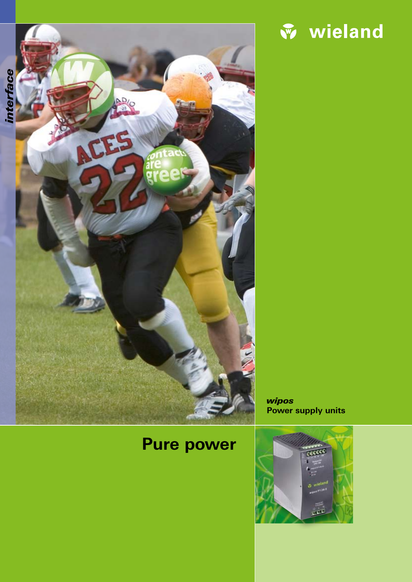



wipos **Power supply units**

# **Pure power**

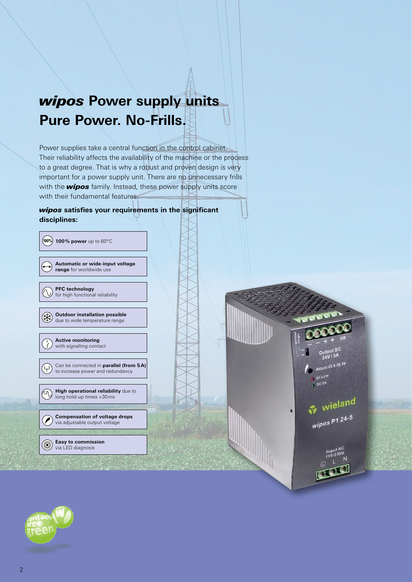## wipos **Power supply units Pure Power. No-Frills.**

Power supplies take a central function in the control cabinet. Their reliability affects the availability of the machine or the process to a great degree. That is why a robust and proven design is very important for a power supply unit. There are no unnecessary frills with the **wipos** family. Instead, these power supply units score with their fundamental features.

### wipos **satisfies your requirements in the significant disciplines:**

| $($ 100%) 100% power up to 60°C                                            |
|----------------------------------------------------------------------------|
| Automatic or wide-input voltage<br>range for worldwide use                 |
| <b>PFC</b> technology<br>for high functional reliability                   |
| <b>Outdoor installation possible</b><br>due to wide temperature range      |
| <b>Active monitoring</b><br>with signalling contact                        |
| Can be connected in parallel (from 5A)<br>to increase power and redundancy |
| High operational reliability due to<br>long hold-up times > 30 ms          |
| <b>Compensation of voltage drops</b><br>via adjustable output voltage      |
| <b>Easy to commission</b><br>via LED diagnosis                             |



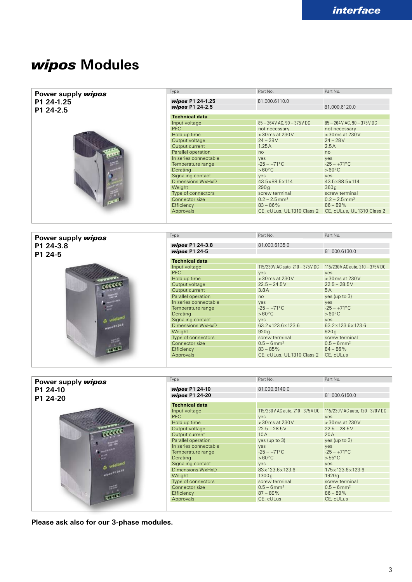### wipos **Modules**

| Power supply wipos | Type                                 | Part No.                             | Part No.                                                    |
|--------------------|--------------------------------------|--------------------------------------|-------------------------------------------------------------|
| P1 24-1.25         | wipos P1 24-1.25                     | 81.000.6110.0                        |                                                             |
|                    | wipos P1 24-2.5                      |                                      | 81.000.6120.0                                               |
| P1 24-2.5          |                                      |                                      |                                                             |
|                    | <b>Technical data</b>                |                                      |                                                             |
|                    | Input voltage                        | 85-264V AC. 90-375V DC               | 85-264 V AC, 90-375 V DC                                    |
|                    | <b>PFC</b>                           | not necessary                        | not necessary                                               |
|                    | Hold up time                         | >30 ms at 230 V                      | >30ms at 230V                                               |
|                    | Output voltage                       | $24 - 28V$                           | $24 - 28V$                                                  |
|                    | Output current<br>Parallel operation | 1.25A<br>no                          | 2.5A                                                        |
|                    | In series connectable                | yes                                  | no<br>yes                                                   |
|                    | Temperature range                    | $-25 - +71$ °C                       | $-25 - +71$ °C                                              |
|                    | Derating                             | $>60^{\circ}$ C                      | $>60^{\circ}$ C                                             |
|                    | Signaling contact                    | yes                                  | yes                                                         |
|                    | <b>Dimensions WxHxD</b>              | 43.5×88.5×114                        | 43.5×88.5×114                                               |
|                    | Weight                               | 290q                                 | 360q                                                        |
|                    | Type of connectors                   | screw terminal                       | screw terminal                                              |
|                    | Connector size                       | $0.2 - 2.5$ mm <sup>2</sup>          | $0.2 - 2.5$ mm <sup>2</sup>                                 |
|                    | Efficiency                           | $83 - 86\%$                          | $86 - 89%$                                                  |
|                    | Approvals                            |                                      | CE, cULus, UL 1310 Class 2 CE, cULus, UL 1310 Class 2       |
|                    |                                      |                                      |                                                             |
|                    |                                      |                                      |                                                             |
|                    | Type                                 | Part No.                             | Part No.                                                    |
| Power supply wipos |                                      |                                      |                                                             |
| P1 24-3.8          | wipos P1 24-3.8                      | 81.000.6135.0                        |                                                             |
| P1 24-5            | wipos P1 24-5                        |                                      | 81.000.6130.0                                               |
|                    | <b>Technical data</b>                |                                      |                                                             |
|                    | Input voltage                        | 115/230 V AC auto, 210 - 375 V DC    | 115/230V AC auto, 210 - 375 V DC                            |
|                    | <b>PFC</b>                           | yes                                  | yes                                                         |
|                    | Hold up time                         | >30 ms at 230 V                      | >30ms at 230V                                               |
|                    | Output voltage                       | $22.5 - 24.5V$                       | $22.5 - 28.5V$                                              |
|                    | Output current                       | 3.8A                                 | 5A                                                          |
|                    | Parallel operation                   | no                                   | yes (up to 3)                                               |
|                    | In series connectable                | yes                                  | yes                                                         |
|                    | Temperature range                    | $-25 - +71$ °C                       | $-25 - +71$ °C                                              |
|                    | Derating                             | $>60^{\circ}$ C                      | $>60^{\circ}$ C                                             |
|                    | Signaling contact                    | yes                                  | yes                                                         |
|                    | <b>Dimensions WxHxD</b>              | 63.2×123.6×123.6                     | 63.2×123.6×123.6                                            |
|                    | Weight                               | 920q                                 | 920q                                                        |
|                    | Type of connectors                   | screw terminal                       | screw terminal                                              |
|                    | Connector size                       | $0.5 - 6$ mm <sup>2</sup>            | $0.5 - 6$ mm <sup>2</sup>                                   |
|                    | Efficiency                           | $83 - 85\%$                          | $84 - 86\%$                                                 |
|                    | Approvals                            | CE, cULus, UL 1310 Class 2 CE, cULus |                                                             |
|                    |                                      |                                      |                                                             |
|                    |                                      |                                      |                                                             |
| Power supply wipos | Type                                 | Part No.                             | Part No.                                                    |
| P1 24-10           | wipos P1 24-10                       | 81.000.6140.0                        |                                                             |
|                    | wipos P1 24-20                       |                                      | 81.000.6150.0                                               |
| P1 24-20           |                                      |                                      |                                                             |
|                    | <b>Technical data</b>                |                                      |                                                             |
|                    | Input voltage                        |                                      | 115/230V AC auto, 210-375V DC 115/230V AC auto, 120-370V DC |
|                    | <b>PFC</b>                           | yes                                  | yes                                                         |
|                    | Hold up time                         | >30 ms at 230 V                      | >30 ms at 230 V                                             |
|                    | Output voltage                       | $22.5 - 28.5V$                       | $22.5 - 28.5V$                                              |
|                    | Output current                       | 10A                                  | 20A                                                         |
|                    | Parallel operation                   | yes (up to 3)                        | yes (up to 3)                                               |
|                    | In series connectable                | yes                                  | <b>yes</b>                                                  |
|                    | Temperature range                    | $-25 - +71$ °C                       | $-25 - +71$ °C                                              |
|                    | Derating                             | $>60^{\circ}$ C                      | $>55^{\circ}$ C                                             |
|                    | Signaling contact                    | yes                                  | yes                                                         |
|                    | Dimensions WxHxD                     | 83x123.6x123.6                       | 175x123.6x123.6                                             |
|                    | Weight                               | 1300g                                | 1920g                                                       |
|                    | Type of connectors                   | screw terminal                       | screw terminal                                              |
|                    | Connector size                       | $0.5 - 6$ mm <sup>2</sup>            | $0.5 - 6$ mm <sup>2</sup>                                   |
|                    | Efficiency                           | $87 - 89\%$                          | $86 - 89%$                                                  |
|                    | Approvals                            | CE, cULus                            | CE, cULus                                                   |

**Please ask also for our 3-phase modules.**